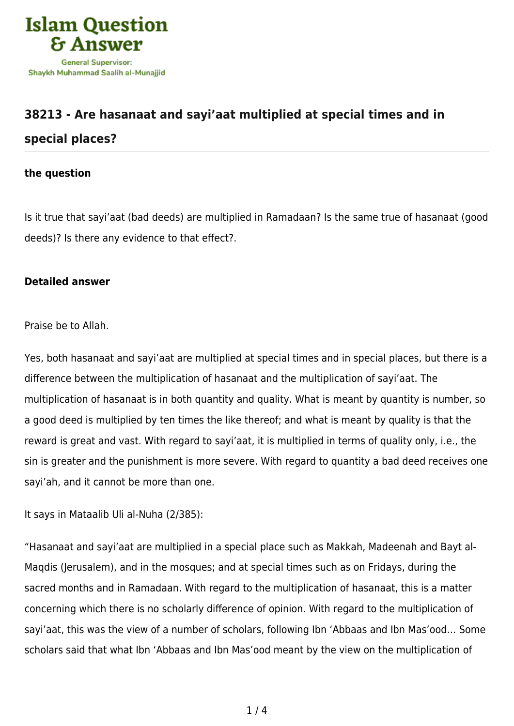

## **[38213 - Are hasanaat and sayi'aat multiplied at special times and in](https://islamqa.com/en/answers/38213/are-hasanaat-and-sayiaat-multiplied-at-special-times-and-in-special-places) [special places?](https://islamqa.com/en/answers/38213/are-hasanaat-and-sayiaat-multiplied-at-special-times-and-in-special-places)**

## **the question**

Is it true that sayi'aat (bad deeds) are multiplied in Ramadaan? Is the same true of hasanaat (good deeds)? Is there any evidence to that effect?.

## **Detailed answer**

Praise be to Allah.

Yes, both hasanaat and sayi'aat are multiplied at special times and in special places, but there is a difference between the multiplication of hasanaat and the multiplication of sayi'aat. The multiplication of hasanaat is in both quantity and quality. What is meant by quantity is number, so a good deed is multiplied by ten times the like thereof; and what is meant by quality is that the reward is great and vast. With regard to sayi'aat, it is multiplied in terms of quality only, i.e., the sin is greater and the punishment is more severe. With regard to quantity a bad deed receives one sayi'ah, and it cannot be more than one.

It says in Mataalib Uli al-Nuha (2/385):

"Hasanaat and sayi'aat are multiplied in a special place such as Makkah, Madeenah and Bayt al-Maqdis (Jerusalem), and in the mosques; and at special times such as on Fridays, during the sacred months and in Ramadaan. With regard to the multiplication of hasanaat, this is a matter concerning which there is no scholarly difference of opinion. With regard to the multiplication of sayi'aat, this was the view of a number of scholars, following Ibn 'Abbaas and Ibn Mas'ood… Some scholars said that what Ibn 'Abbaas and Ibn Mas'ood meant by the view on the multiplication of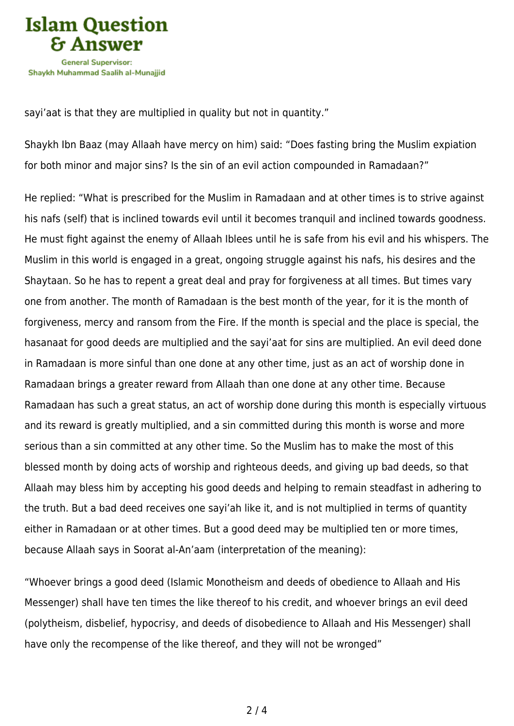

sayi'aat is that they are multiplied in quality but not in quantity."

Shaykh Ibn Baaz (may Allaah have mercy on him) said: "Does fasting bring the Muslim expiation for both minor and major sins? Is the sin of an evil action compounded in Ramadaan?"

He replied: "What is prescribed for the Muslim in Ramadaan and at other times is to strive against his nafs (self) that is inclined towards evil until it becomes tranquil and inclined towards goodness. He must fight against the enemy of Allaah Iblees until he is safe from his evil and his whispers. The Muslim in this world is engaged in a great, ongoing struggle against his nafs, his desires and the Shaytaan. So he has to repent a great deal and pray for forgiveness at all times. But times vary one from another. The month of Ramadaan is the best month of the year, for it is the month of forgiveness, mercy and ransom from the Fire. If the month is special and the place is special, the hasanaat for good deeds are multiplied and the sayi'aat for sins are multiplied. An evil deed done in Ramadaan is more sinful than one done at any other time, just as an act of worship done in Ramadaan brings a greater reward from Allaah than one done at any other time. Because Ramadaan has such a great status, an act of worship done during this month is especially virtuous and its reward is greatly multiplied, and a sin committed during this month is worse and more serious than a sin committed at any other time. So the Muslim has to make the most of this blessed month by doing acts of worship and righteous deeds, and giving up bad deeds, so that Allaah may bless him by accepting his good deeds and helping to remain steadfast in adhering to the truth. But a bad deed receives one sayi'ah like it, and is not multiplied in terms of quantity either in Ramadaan or at other times. But a good deed may be multiplied ten or more times, because Allaah says in Soorat al-An'aam (interpretation of the meaning):

"Whoever brings a good deed (Islamic Monotheism and deeds of obedience to Allaah and His Messenger) shall have ten times the like thereof to his credit, and whoever brings an evil deed (polytheism, disbelief, hypocrisy, and deeds of disobedience to Allaah and His Messenger) shall have only the recompense of the like thereof, and they will not be wronged"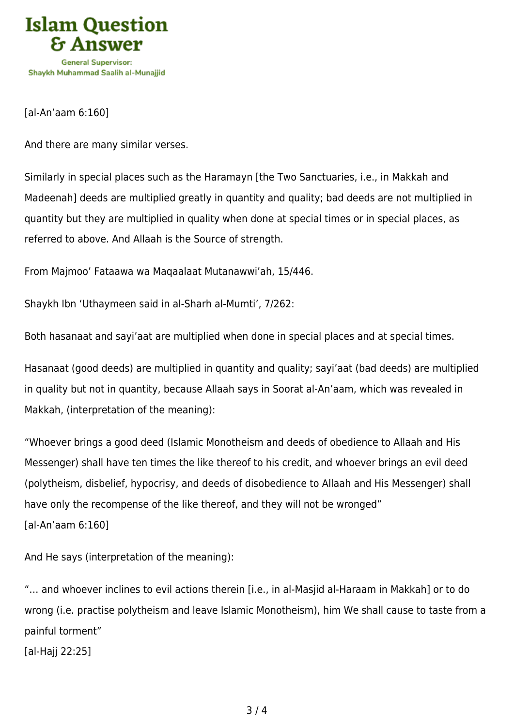

[al-An'aam 6:160]

And there are many similar verses.

Similarly in special places such as the Haramayn [the Two Sanctuaries, i.e., in Makkah and Madeenah] deeds are multiplied greatly in quantity and quality; bad deeds are not multiplied in quantity but they are multiplied in quality when done at special times or in special places, as referred to above. And Allaah is the Source of strength.

From Majmoo' Fataawa wa Maqaalaat Mutanawwi'ah, 15/446.

Shaykh Ibn 'Uthaymeen said in al-Sharh al-Mumti', 7/262:

Both hasanaat and sayi'aat are multiplied when done in special places and at special times.

Hasanaat (good deeds) are multiplied in quantity and quality; sayi'aat (bad deeds) are multiplied in quality but not in quantity, because Allaah says in Soorat al-An'aam, which was revealed in Makkah, (interpretation of the meaning):

"Whoever brings a good deed (Islamic Monotheism and deeds of obedience to Allaah and His Messenger) shall have ten times the like thereof to his credit, and whoever brings an evil deed (polytheism, disbelief, hypocrisy, and deeds of disobedience to Allaah and His Messenger) shall have only the recompense of the like thereof, and they will not be wronged" [al-An'aam 6:160]

And He says (interpretation of the meaning):

"… and whoever inclines to evil actions therein [i.e., in al-Masjid al-Haraam in Makkah] or to do wrong (i.e. practise polytheism and leave Islamic Monotheism), him We shall cause to taste from a painful torment"

[al-Hajj 22:25]